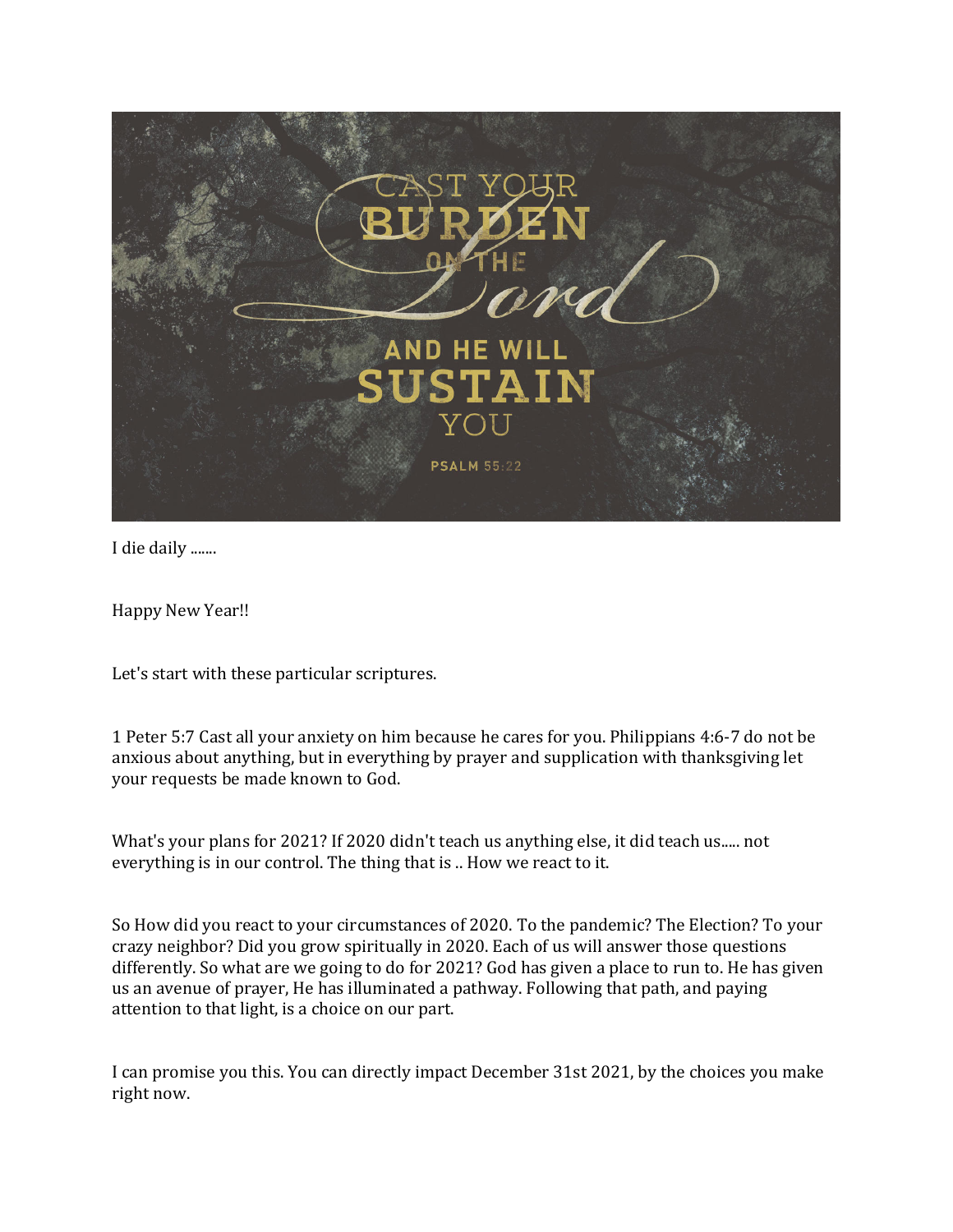

I die daily .......

Happy New Year!!

Let's start with these particular scriptures.

1 Peter 5:7 Cast all your anxiety on him because he cares for you. Philippians 4:6-7 do not be anxious about anything, but in everything by prayer and supplication with thanksgiving let your requests be made known to God.

What's your plans for 2021? If 2020 didn't teach us anything else, it did teach us..... not everything is in our control. The thing that is .. How we react to it.

So How did you react to your circumstances of 2020. To the pandemic? The Election? To your crazy neighbor? Did you grow spiritually in 2020. Each of us will answer those questions differently. So what are we going to do for 2021? God has given a place to run to. He has given us an avenue of prayer, He has illuminated a pathway. Following that path, and paying attention to that light, is a choice on our part.

I can promise you this. You can directly impact December 31st 2021, by the choices you make right now.